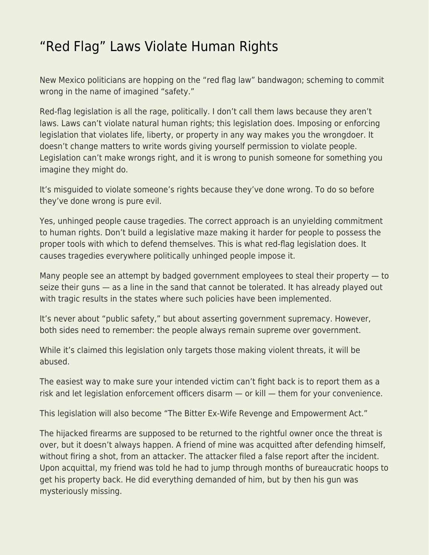## ["Red Flag" Laws Violate Human Rights](https://everything-voluntary.com/red-flag-laws-violate-human-rights)

New Mexico politicians are hopping on the "red flag law" bandwagon; scheming to commit wrong in the name of imagined "safety."

Red-flag legislation is all the rage, politically. I don't call them laws because they aren't laws. Laws can't violate natural human rights; this legislation does. Imposing or enforcing legislation that violates life, liberty, or property in any way makes you the wrongdoer. It doesn't change matters to write words giving yourself permission to violate people. Legislation can't make wrongs right, and it is wrong to punish someone for something you imagine they might do.

It's misguided to violate someone's rights because they've done wrong. To do so before they've done wrong is pure evil.

Yes, unhinged people cause tragedies. The correct approach is an unyielding commitment to human rights. Don't build a legislative maze making it harder for people to possess the proper tools with which to defend themselves. This is what red-flag legislation does. It causes tragedies everywhere politically unhinged people impose it.

Many people see an attempt by badged government employees to steal their property — to seize their guns — as a line in the sand that cannot be tolerated. It has already played out with tragic results in the states where such policies have been implemented.

It's never about "public safety," but about asserting government supremacy. However, both sides need to remember: the people always remain supreme over government.

While it's claimed this legislation only targets those making violent threats, it will be abused.

The easiest way to make sure your intended victim can't fight back is to report them as a risk and let legislation enforcement officers disarm — or kill — them for your convenience.

This legislation will also become "The Bitter Ex-Wife Revenge and Empowerment Act."

The hijacked firearms are supposed to be returned to the rightful owner once the threat is over, but it doesn't always happen. A friend of mine was acquitted after defending himself, without firing a shot, from an attacker. The attacker filed a false report after the incident. Upon acquittal, my friend was told he had to jump through months of bureaucratic hoops to get his property back. He did everything demanded of him, but by then his gun was mysteriously missing.